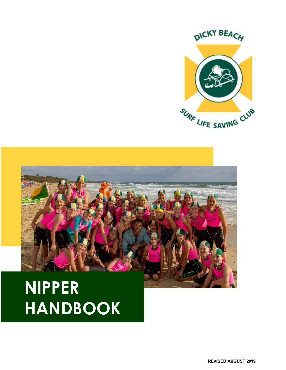



# **NIPPER HANDBOOK**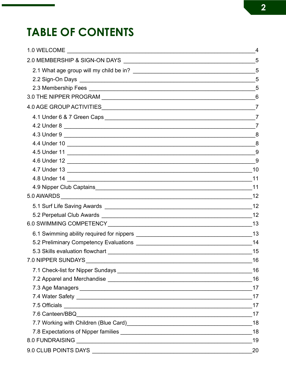## **TABLE OF CONTENTS**

| 4               |
|-----------------|
|                 |
| $5\overline{5}$ |
| 5               |
|                 |
| 6               |
|                 |
|                 |
|                 |
| 8               |
|                 |
| 9               |
| 9               |
| 10              |
|                 |
|                 |
|                 |
|                 |
|                 |
|                 |
|                 |
|                 |
|                 |
| 16              |
| 16              |
|                 |
|                 |
|                 |
|                 |
|                 |
| 18              |
|                 |
| 19              |
| 20              |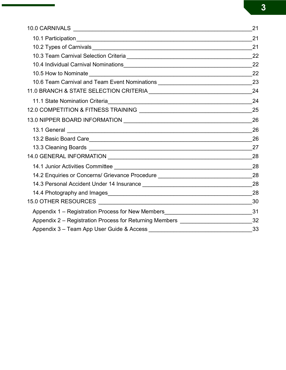|                                                                                                                | 21 |
|----------------------------------------------------------------------------------------------------------------|----|
|                                                                                                                | 21 |
|                                                                                                                | 21 |
|                                                                                                                | 22 |
|                                                                                                                | 22 |
|                                                                                                                | 22 |
| 10.6 Team Carnival and Team Event Nominations __________________________________                               | 23 |
|                                                                                                                | 24 |
|                                                                                                                | 24 |
|                                                                                                                | 25 |
|                                                                                                                | 26 |
|                                                                                                                | 26 |
|                                                                                                                | 26 |
|                                                                                                                | 27 |
| 14.0 GENERAL INFORMATION NARROW NATURE AND RESERVE TO A SERIES AND THE RESERVE TO A SERIES AND RESERVE TO A SA | 28 |
|                                                                                                                | 28 |
| 14.2 Enquiries or Concerns/ Grievance Procedure ________________________________                               | 28 |
|                                                                                                                | 28 |
|                                                                                                                | 28 |
|                                                                                                                | 30 |
| Appendix 1 - Registration Process for New Members________________________________31                            |    |
| Appendix 2 - Registration Process for Returning Members _________________________32                            |    |
|                                                                                                                |    |

**3**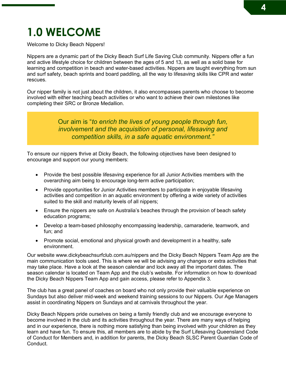### **1.0 WELCOME**

Welcome to Dicky Beach Nippers!

Nippers are a dynamic part of the Dicky Beach Surf Life Saving Club community. Nippers offer a fun and active lifestyle choice for children between the ages of 5 and 13, as well as a solid base for learning and competition in beach and water-based activities. Nippers are taught everything from sun and surf safety, beach sprints and board paddling, all the way to lifesaving skills like CPR and water rescues.

Our nipper family is not just about the children, it also encompasses parents who choose to become involved with either teaching beach activities or who want to achieve their own milestones like completing their SRC or Bronze Medallion.

> Our aim is "*to enrich the lives of young people through fun, involvement and the acquisition of personal, lifesaving and competition skills, in a safe aquatic environment."*

To ensure our nippers thrive at Dicky Beach, the following objectives have been designed to encourage and support our young members:

- Provide the best possible lifesaving experience for all Junior Activities members with the overarching aim being to encourage long-term active participation;
- Provide opportunities for Junior Activities members to participate in enjoyable lifesaving activities and competition in an aquatic environment by offering a wide variety of activities suited to the skill and maturity levels of all nippers;
- Ensure the nippers are safe on Australia's beaches through the provision of beach safety education programs;
- Develop a team-based philosophy encompassing leadership, camaraderie, teamwork, and fun; and
- Promote social, emotional and physical growth and development in a healthy, safe environment.

Our website www.dickybeachsurfclub.com.au/nippers and the Dicky Beach Nippers Team App are the main communication tools used. This is where we will be advising any changes or extra activities that may take place. Have a look at the season calendar and lock away all the important dates. The season calendar is located on Team App and the club's website. For information on how to download the Dicky Beach Nippers Team App and gain access, please refer to Appendix 3.

The club has a great panel of coaches on board who not only provide their valuable experience on Sundays but also deliver mid-week and weekend training sessions to our Nippers. Our Age Managers assist in coordinating Nippers on Sundays and at carnivals throughout the year.

Dicky Beach Nippers pride ourselves on being a family friendly club and we encourage everyone to become involved in the club and its activities throughout the year. There are many ways of helping and in our experience, there is nothing more satisfying than being involved with your children as they learn and have fun. To ensure this, all members are to abide by the Surf Lifesaving Queensland Code of Conduct for Members and, in addition for parents, the Dicky Beach SLSC Parent Guardian Code of Conduct.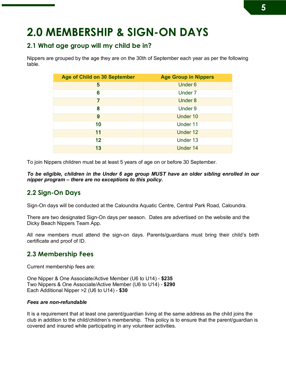### **2.0 MEMBERSHIP & SIGN-ON DAYS**

#### **2.1 What age group will my child be in?**

Nippers are grouped by the age they are on the 30th of September each year as per the following table.

| Age of Child on 30 September | <b>Age Group in Nippers</b> |
|------------------------------|-----------------------------|
| 5                            | Under <sub>6</sub>          |
| 6                            | Under <sub>7</sub>          |
| 7                            | Under 8                     |
| 8                            | Under 9                     |
| 9                            | Under 10                    |
| 10                           | Under 11                    |
| 11                           | Under 12                    |
| 12 <sub>2</sub>              | Under 13                    |
| 13                           | Under 14                    |

To join Nippers children must be at least 5 years of age on or before 30 September.

*To be eligible, children in the Under 6 age group MUST have an older sibling enrolled in our nipper program – there are no exceptions to this policy.* 

#### **2.2 Sign-On Days**

Sign-On days will be conducted at the Caloundra Aquatic Centre, Central Park Road, Caloundra.

There are two designated Sign-On days per season. Dates are advertised on the website and the Dicky Beach Nippers Team App.

All new members must attend the sign-on days. Parents/guardians must bring their child's birth certificate and proof of ID.

#### **2.3 Membership Fees**

Current membership fees are:

One Nipper & One Associate/Active Member (U6 to U14) - **\$235** Two Nippers & One Associate/Active Member (U6 to U14) - **\$290** Each Additional Nipper >2 (U6 to U14) - **\$30**

#### *Fees are non-refundable*

It is a requirement that at least one parent/guardian living at the same address as the child joins the club in addition to the child/children's membership. This policy is to ensure that the parent/guardian is covered and insured while participating in any volunteer activities.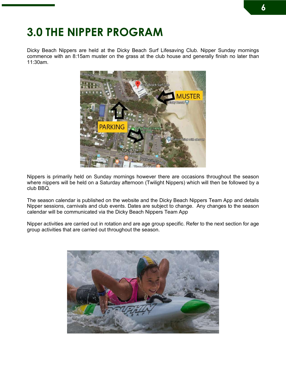### **3.0 THE NIPPER PROGRAM**

Dicky Beach Nippers are held at the Dicky Beach Surf Lifesaving Club. Nipper Sunday mornings commence with an 8:15am muster on the grass at the club house and generally finish no later than 11:30am.



Nippers is primarily held on Sunday mornings however there are occasions throughout the season where nippers will be held on a Saturday afternoon (Twilight Nippers) which will then be followed by a club BBQ.

The season calendar is published on the website and the Dicky Beach Nippers Team App and details Nipper sessions, carnivals and club events. Dates are subject to change. Any changes to the season calendar will be communicated via the Dicky Beach Nippers Team App

Nipper activities are carried out in rotation and are age group specific. Refer to the next section for age group activities that are carried out throughout the season.

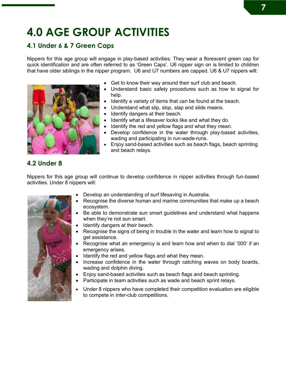## **4.0 AGE GROUP ACTIVITIES**

#### **4.1 Under 6 & 7 Green Caps**

Nippers for this age group will engage in play-based activities. They wear a florescent green cap for quick identification and are often referred to as 'Green Caps'. U6 nipper sign on is limited to children that have older siblings in the nipper program. U6 and U7 numbers are capped. U6 & U7 nippers will:



- Get to know their way around their surf club and beach.
- Understand basic safety procedures such as how to signal for help.
- Identify a variety of items that can be found at the beach.
- Understand what slip, slop, slap and slide means.
- Identify dangers at their beach.
- Identify what a lifesaver looks like and what they do.
- Identify the red and vellow flags and what they mean.
- Develop confidence in the water through play-based activities, wading and participating in run-wade-runs.
- Enjoy sand-based activities such as beach flags, beach sprinting and beach relays.

#### **4.2 Under 8**

Nippers for this age group will continue to develop confidence in nipper activities through fun-based activities. Under 8 nippers will:



- Develop an understanding of surf lifesaving in Australia.
- Recognise the diverse human and marine communities that make up a beach ecosystem.
- Be able to demonstrate sun smart guidelines and understand what happens when they're not sun smart.
- Identify dangers at their beach.
- Recognise the signs of being in trouble in the water and learn how to signal to get assistance.
- Recognise what an emergency is and learn how and when to dial '000' if an emergency arises.
- Identify the red and yellow flags and what they mean.
- Increase confidence in the water through catching waves on body boards, wading and dolphin diving.
- Enjoy sand-based activities such as beach flags and beach sprinting.
- Participate in team activities such as wade and beach sprint relays.
- Under 8 nippers who have completed their competition evaluation are eligible to compete in inter-club competitions.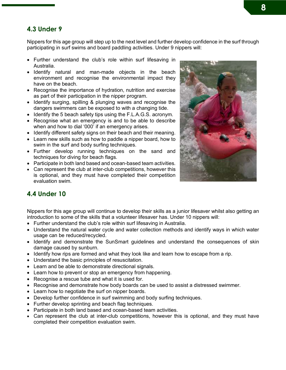#### **4.3 Under 9**

Nippers for this age group will step up to the next level and further develop confidence in the surf through participating in surf swims and board paddling activities. Under 9 nippers will:

- Further understand the club's role within surf lifesaving in Australia.
- Identify natural and man-made objects in the beach environment and recognise the environmental impact they have on the beach.
- Recognise the importance of hydration, nutrition and exercise as part of their participation in the nipper program.
- Identify surging, spilling & plunging waves and recognise the dangers swimmers can be exposed to with a changing tide.
- Identify the 5 beach safety tips using the F.L.A.G.S. acronym.
- Recognise what an emergency is and to be able to describe when and how to dial '000' if an emergency arises.
- Identify different safety signs on their beach and their meaning.
- Learn new skills such as how to paddle a nipper board, how to swim in the surf and body surfing techniques.
- Further develop running techniques on the sand and techniques for diving for beach flags.
- Participate in both land based and ocean-based team activities.
- Can represent the club at inter-club competitions, however this is optional, and they must have completed their competition evaluation swim.



#### **4.4 Under 10**

Nippers for this age group will continue to develop their skills as a junior lifesaver whilst also getting an introduction to some of the skills that a volunteer lifesaver has. Under 10 nippers will:

- Further understand the club's role within surf lifesaving in Australia.
- Understand the natural water cycle and water collection methods and identify ways in which water usage can be reduced/recycled.
- Identify and demonstrate the SunSmart guidelines and understand the consequences of skin damage caused by sunburn.
- Identify how rips are formed and what they look like and learn how to escape from a rip.
- Understand the basic principles of resuscitation.
- Learn and be able to demonstrate directional signals.
- Learn how to prevent or stop an emergency from happening.
- Recognise a rescue tube and what it is used for.
- Recognise and demonstrate how body boards can be used to assist a distressed swimmer.
- Learn how to negotiate the surf on nipper boards.
- Develop further confidence in surf swimming and body surfing techniques.
- Further develop sprinting and beach flag techniques.
- Participate in both land based and ocean-based team activities.
- Can represent the club at inter-club competitions, however this is optional, and they must have completed their competition evaluation swim.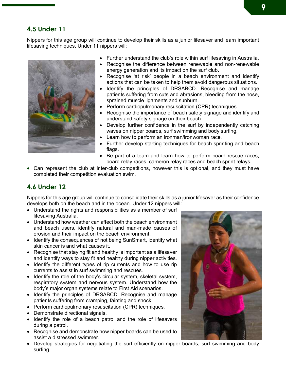#### **4.5 Under 11**

Nippers for this age group will continue to develop their skills as a junior lifesaver and learn important lifesaving techniques. Under 11 nippers will:



- Further understand the club's role within surf lifesaving in Australia.
- Recognise the difference between renewable and non-renewable energy generation and its impact on the surf club.
- Recognise 'at risk' people in a beach environment and identify actions that can be taken to help them avoid dangerous situations.
- Identify the principles of DRSABCD. Recognise and manage patients suffering from cuts and abrasions, bleeding from the nose, sprained muscle ligaments and sunburn.
- Perform cardiopulmonary resuscitation (CPR) techniques.
- Recognise the importance of beach safety signage and identify and understand safety signage on their beach.
- Develop further confidence in the surf by independently catching waves on nipper boards, surf swimming and body surfing.
- Learn how to perform an ironman/ironwoman race.
- Further develop starting techniques for beach sprinting and beach flags.
- Be part of a team and learn how to perform board rescue races, board relay races, cameron relay races and beach sprint relays.
- Can represent the club at inter-club competitions, however this is optional, and they must have completed their competition evaluation swim.

#### **4.6 Under 12**

Nippers for this age group will continue to consolidate their skills as a junior lifesaver as their confidence develops both on the beach and in the ocean. Under 12 nippers will:

- Understand the rights and responsibilities as a member of surf lifesaving Australia.
- Understand how weather can affect both the beach environment and beach users, identify natural and man-made causes of erosion and their impact on the beach environment.
- Identify the consequences of not being SunSmart, identify what skin cancer is and what causes it.
- Recognise that staying fit and healthy is important as a lifesaver and identify ways to stay fit and healthy during nipper activities.
- Identify the different types of rip currents and how to use rip currents to assist in surf swimming and rescues.
- Identify the role of the body's circular system, skeletal system, respiratory system and nervous system. Understand how the body's major organ systems relate to First Aid scenarios.
- Identify the principles of DRSABCD. Recognise and manage patients suffering from cramping, fainting and shock.
- Perform cardiopulmonary resuscitation (CPR) techniques.
- Demonstrate directional signals.
- Identify the role of a beach patrol and the role of lifesavers during a patrol.
- Recognise and demonstrate how nipper boards can be used to assist a distressed swimmer.
- Develop strategies for negotiating the surf efficiently on nipper boards, surf swimming and body surfing.

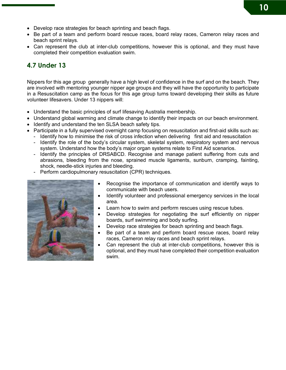- Develop race strategies for beach sprinting and beach flags.
- Be part of a team and perform board rescue races, board relay races, Cameron relay races and beach sprint relays.
- Can represent the club at inter-club competitions, however this is optional, and they must have completed their competition evaluation swim.

#### **4.7 Under 13**

Nippers for this age group generally have a high level of confidence in the surf and on the beach. They are involved with mentoring younger nipper age groups and they will have the opportunity to participate in a Resuscitation camp as the focus for this age group turns toward developing their skills as future volunteer lifesavers. Under 13 nippers will:

- Understand the basic principles of surf lifesaving Australia membership.
- Understand global warming and climate change to identify their impacts on our beach environment.
- Identify and understand the ten SLSA beach safety tips.
- Participate in a fully supervised overnight camp focusing on resuscitation and first-aid skills such as:
	- Identify how to minimise the risk of cross infection when delivering first aid and resuscitation
	- Identify the role of the body's circular system, skeletal system, respiratory system and nervous system. Understand how the body's major organ systems relate to First Aid scenarios.
	- Identify the principles of DRSABCD. Recognise and manage patient suffering from cuts and abrasions, bleeding from the nose, sprained muscle ligaments, sunburn, cramping, fainting, shock, needle-stick injuries and bleeding.
	- Perform cardiopulmonary resuscitation (CPR) techniques.



- Recognise the importance of communication and identify ways to communicate with beach users.
- Identify volunteer and professional emergency services in the local area.
- Learn how to swim and perform rescues using rescue tubes.
- Develop strategies for negotiating the surf efficiently on nipper boards, surf swimming and body surfing.
- Develop race strategies for beach sprinting and beach flags.
- Be part of a team and perform board rescue races, board relay races, Cameron relay races and beach sprint relays.
- Can represent the club at inter-club competitions, however this is optional, and they must have completed their competition evaluation swim.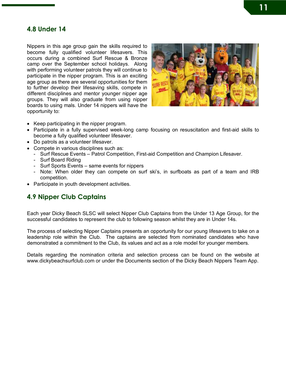#### **4.8 Under 14**

Nippers in this age group gain the skills required to become fully qualified volunteer lifesavers. This occurs during a combined Surf Rescue & Bronze camp over the September school holidays. Along with performing volunteer patrols they will continue to participate in the nipper program. This is an exciting age group as there are several opportunities for them to further develop their lifesaving skills, compete in different disciplines and mentor younger nipper age groups. They will also graduate from using nipper boards to using mals. Under 14 nippers will have the opportunity to:



- Keep participating in the nipper program.
- Participate in a fully supervised week-long camp focusing on resuscitation and first-aid skills to become a fully qualified volunteer lifesaver.
- Do patrols as a volunteer lifesaver.
- Compete in various disciplines such as:
	- Surf Rescue Events Patrol Competition, First-aid Competition and Champion Lifesaver.
	- Surf Board Riding
	- Surf Sports Events same events for nippers
	- Note: When older they can compete on surf ski's, in surfboats as part of a team and IRB competition.
- Participate in youth development activities.

#### **4.9 Nipper Club Captains**

Each year Dicky Beach SLSC will select Nipper Club Captains from the Under 13 Age Group, for the successful candidates to represent the club to following season whilst they are in Under 14s.

The process of selecting Nipper Captains presents an opportunity for our young lifesavers to take on a leadership role within the Club. The captains are selected from nominated candidates who have demonstrated a commitment to the Club, its values and act as a role model for younger members.

Details regarding the nomination criteria and selection process can be found on the website at www.dickybeachsurfclub.com or under the Documents section of the Dicky Beach Nippers Team App.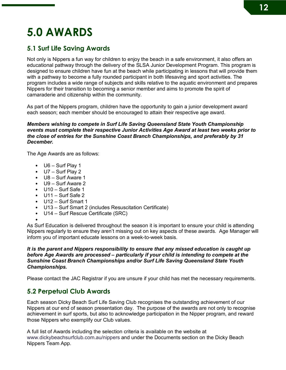### **5.0 AWARDS**

#### **5.1 Surf Life Saving Awards**

Not only is Nippers a fun way for children to enjoy the beach in a safe environment, it also offers an educational pathway through the delivery of the SLSA Junior Development Program. This program is designed to ensure children have fun at the beach while participating in lessons that will provide them with a pathway to become a fully rounded participant in both lifesaving and sport activities. The program includes a wide range of subjects and skills relative to the aquatic environment and prepares Nippers for their transition to becoming a senior member and aims to promote the spirit of camaraderie and citizenship within the community.

As part of the Nippers program, children have the opportunity to gain a junior development award each season; each member should be encouraged to attain their respective age award.

#### *Members wishing to compete in Surf Life Saving Queensland State Youth Championship events must complete their respective Junior Activities Age Award at least two weeks prior to the close of entries for the Sunshine Coast Branch Championships, and preferably by 31 December.*

The Age Awards are as follows:

- U6 Surf Play 1
- U7 Surf Play 2
- U8 Surf Aware 1
- U9 Surf Aware 2
- U10 Surf Safe 1
- U11 Surf Safe 2
- U12 Surf Smart 1
- U13 Surf Smart 2 (includes Resuscitation Certificate)
- U14 Surf Rescue Certificate (SRC)
- •

As Surf Education is delivered throughout the season it is important to ensure your child is attending Nippers regularly to ensure they aren't missing out on key aspects of these awards. Age Manager will inform you of important educate lessons on a week-to-week basis.

#### *It is the parent and Nippers responsibility to ensure that any missed education is caught up before Age Awards are processed – particularly if your child is intending to compete at the Sunshine Coast Branch Championships and/or Surf Life Saving Queensland State Youth Championships.*

Please contact the JAC Registrar if you are unsure if your child has met the necessary requirements.

#### **5.2 Perpetual Club Awards**

Each season Dicky Beach Surf Life Saving Club recognises the outstanding achievement of our Nippers at our end of season presentation day. The purpose of the awards are not only to recognise achievement in surf sports, but also to acknowledge participation in the Nipper program, and reward those Nippers who exemplify our Club values.

A full list of Awards including the selection criteria is available on the website at www.dickybeachsurfclub.com.au/nippers and under the Documents section on the Dicky Beach Nippers Team App.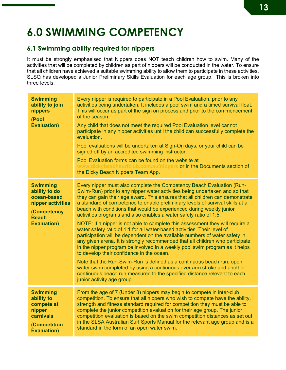### **6.0 SWIMMING COMPETENCY**

#### **6.1 Swimming ability required for nippers**

It must be strongly emphasised that Nippers does NOT teach children how to swim. Many of the activities that will be completed by children as part of nippers will be conducted in the water. To ensure that all children have achieved a suitable swimming ability to allow them to participate in these activities, SLSQ has developed a Junior Preliminary Skills Evaluation for each age group. This is broken into three levels:

| <b>Swimming</b><br>ability to join<br>nippers<br>(Pool<br><b>Evaluation)</b>                                              | Every nipper is required to participate in a Pool Evaluation, prior to any<br>activities being undertaken. It includes a pool swim and a timed survival float.<br>This will occur as part of the sign on process and prior to the commencement<br>of the season.<br>Any child that does not meet the required Pool Evaluation level cannot<br>participate in any nipper activities until the child can successfully complete the<br>evaluation.<br>Pool evaluations will be undertaken at Sign-On days, or your child can be<br>signed off by an accredited swimming instructor.<br>Pool Evaluation forms can be found on the website at<br>www.dickybeachsurfclub.com.au/nippers or in the Documents section of<br>the Dicky Beach Nippers Team App.                                                                                                                                                                                                                                                                                                                                                                                                                                     |
|---------------------------------------------------------------------------------------------------------------------------|-------------------------------------------------------------------------------------------------------------------------------------------------------------------------------------------------------------------------------------------------------------------------------------------------------------------------------------------------------------------------------------------------------------------------------------------------------------------------------------------------------------------------------------------------------------------------------------------------------------------------------------------------------------------------------------------------------------------------------------------------------------------------------------------------------------------------------------------------------------------------------------------------------------------------------------------------------------------------------------------------------------------------------------------------------------------------------------------------------------------------------------------------------------------------------------------|
| <b>Swimming</b><br>ability to do<br>ocean-based<br>nipper activities<br>(Competency<br><b>Beach</b><br><b>Evaluation)</b> | Every nipper must also complete the Competency Beach Evaluation (Run-<br>Swim-Run) prior to any nipper water activities being undertaken and so that<br>they can gain their age award. This ensures that all children can demonstrate<br>a standard of competence to enable preliminary levels of survival skills at a<br>beach with conditions that would be experienced during weekly junior<br>activities programs and also enables a water safety ratio of 1:5.<br>NOTE: If a nipper is not able to complete this assessment they will require a<br>water safety ratio of 1:1 for all water-based activities. Their level of<br>participation will be dependent on the available numbers of water safety in<br>any given arena. It is strongly recommended that all children who participate<br>in the nipper program be involved in a weekly pool swim program as it helps<br>to develop their confidence in the ocean.<br>Note that the Run-Swim-Run is defined as a continuous beach run, open<br>water swim completed by using a continuous over arm stroke and another<br>continuous beach run measured to the specified distance relevant to each<br>junior activity age group. |
| <b>Swimming</b><br>ability to<br>compete at<br>nipper<br>carnivals<br>(Competition<br><b>Evaluation)</b>                  | From the age of 7 (Under 8) nippers may begin to compete in inter-club<br>competition. To ensure that all nippers who wish to compete have the ability,<br>strength and fitness standard required for competition they must be able to<br>complete the junior competition evaluation for their age group. The junior<br>competition evaluation is based on the swim competition distances as set out<br>in the SLSA Australian Surf Sports Manual for the relevant age group and is a<br>standard in the form of an open water swim.                                                                                                                                                                                                                                                                                                                                                                                                                                                                                                                                                                                                                                                      |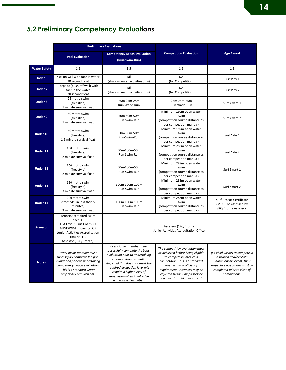#### **5.2 Preliminary Competency Evaluations** *The distances below are standard; however some branches may set distances above the standard. Please ensure that you liaise with your respective branch to meet their standard.*

|                     | <b>Preliminary Evaluations</b>                                                                                                                                                        |                                                                                                                                                                                                                                                                                             |                                                                                                                                                                                                                                                                   |                                                                                                                                                                      |
|---------------------|---------------------------------------------------------------------------------------------------------------------------------------------------------------------------------------|---------------------------------------------------------------------------------------------------------------------------------------------------------------------------------------------------------------------------------------------------------------------------------------------|-------------------------------------------------------------------------------------------------------------------------------------------------------------------------------------------------------------------------------------------------------------------|----------------------------------------------------------------------------------------------------------------------------------------------------------------------|
|                     | <b>Pool Evaluation</b>                                                                                                                                                                | <b>Competency Beach Evaluation</b><br>(Run-Swim-Run)                                                                                                                                                                                                                                        | <b>Competition Evaluation</b>                                                                                                                                                                                                                                     | <b>Age Award</b>                                                                                                                                                     |
| <b>Water Safety</b> | 1:5                                                                                                                                                                                   | 1:5                                                                                                                                                                                                                                                                                         | 1:5                                                                                                                                                                                                                                                               | 1:5                                                                                                                                                                  |
| <b>Under 6</b>      | Kick on wall with face in water<br>30 second float                                                                                                                                    | Nil<br>(shallow water activities only)                                                                                                                                                                                                                                                      | <b>NA</b><br>(No Competition)                                                                                                                                                                                                                                     | Surf Play 1                                                                                                                                                          |
| <b>Under 7</b>      | Torpedo (push off wall) with<br>face in the water<br>30 second float                                                                                                                  | Nil<br>(shallow water activities only)                                                                                                                                                                                                                                                      | <b>NA</b><br>(No Competition)                                                                                                                                                                                                                                     | Surf Play 2                                                                                                                                                          |
| <b>Under 8</b>      | 25 metre swim<br>(freestyle)<br>1 minute survival float                                                                                                                               | 25m-25m-25m<br>Run-Wade-Run                                                                                                                                                                                                                                                                 | 25m-25m-25m<br>Run-Wade-Run                                                                                                                                                                                                                                       | Surf Aware 1                                                                                                                                                         |
| <b>Under 9</b>      | 50 metre swim<br>(freestyle)<br>1 minute survival float                                                                                                                               | 50m-50m-50m<br>Run-Swim-Run                                                                                                                                                                                                                                                                 | Minimum 150m open water<br>swim<br>(competition course distance as<br>per competition manual)                                                                                                                                                                     | Surf Aware 2                                                                                                                                                         |
| Under 10            | 50 metre swim<br>(freestyle)<br>1.5 minute survival float                                                                                                                             | 50m-50m-50m<br>Run-Swim-Run                                                                                                                                                                                                                                                                 | Minimum 150m open water<br>swim<br>(competition course distance as<br>per competition manual)                                                                                                                                                                     | Surf Safe 1                                                                                                                                                          |
| Under 11            | 100 metre swim<br>(freestyle)<br>2 minute survival float                                                                                                                              | 50m-100m-50m<br>Run-Swim-Run                                                                                                                                                                                                                                                                | Minimum 288m open water<br>swim<br>(competition course distance as<br>per competition manual)                                                                                                                                                                     | Surf Safe 2                                                                                                                                                          |
| Under 12            | 100 metre swim<br>(freestyle)<br>2 minute survival float                                                                                                                              | 50m-100m-50m<br>Run-Swim-Run                                                                                                                                                                                                                                                                | Minimum 288m open water<br>swim<br>(competition course distance as<br>per competition manual)                                                                                                                                                                     | Surf Smart 1                                                                                                                                                         |
| Under 13            | 150 metre swim<br>(freestyle)<br>3 minute survival float                                                                                                                              | 100m-100m-100m<br>Run-Swim-Run                                                                                                                                                                                                                                                              | Minimum 288m open water<br>swim<br>(competition course distance as<br>per competition manual)                                                                                                                                                                     | Surf Smart 2                                                                                                                                                         |
| <b>Under 14</b>     | 200 metre swim<br>(freestyle, in less than 5<br>minutes)<br>3 minute survival float                                                                                                   | 100m-100m-100m<br>Run-Swim-Run                                                                                                                                                                                                                                                              | Minimum 288m open water<br>swim<br>(competition course distance as<br>per competition manual)                                                                                                                                                                     | Surf Rescue Certificate<br>(MUST be assessed by<br>SRC/Bronze Assessor)                                                                                              |
| <b>Assessor</b>     | <b>Bronze Accredited Swim</b><br>Coach; OR<br>SLSA Level 1 Surf Coach; OR<br>AUSTSWIM Instructor; OR<br>Junior Activities Accreditation<br>Officer; OR<br>Assessor (SRC/Bronze).      | Assessor (SRC/Bronze)<br>Junior Activities Accreditation Officer                                                                                                                                                                                                                            |                                                                                                                                                                                                                                                                   |                                                                                                                                                                      |
| <b>Notes</b>        | Every junior member must<br>successfully complete the pool<br>evaluation prior to undertaking<br>competency beach evaluation.<br>This is a standard water<br>proficiency requirement. | Every junior member must<br>successfully complete the beach<br>evaluation prior to undertaking<br>the competition evaluation.<br>Any child that does not meet the<br>required evaluation level will<br>require a higher level of<br>supervision when involved in<br>water based activities. | The competition evaluation must<br>be achieved before being eligible<br>to compete in inter-club<br>competition. This is a standard<br>open water proficiency<br>requirement. Distances may be<br>adjusted by the Chief Assessor<br>dependent on risk assessment. | If a child wishes to compete in<br>a Branch and/or State<br>Championship event, their<br>respective age award must be<br>completed prior to close of<br>nominations. |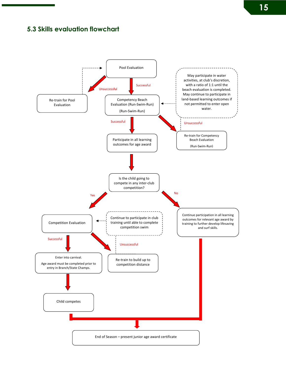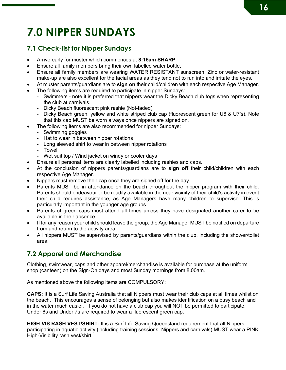## **7.0 NIPPER SUNDAYS**

#### **7.1 Check-list for Nipper Sundays**

- Arrive early for muster which commences at **8:15am SHARP**
- Ensure all family members bring their own labelled water bottle.
- Ensure all family members are wearing WATER RESISTANT sunscreen. Zinc or water-resistant make-up are also excellent for the facial areas as they tend not to run into and irritate the eyes.
- At muster parents/guardians are to **sign on** their child/children with each respective Age Manager.
- The following items are required to participate in nipper Sundays:
	- Swimmers note it is preferred that nippers wear the Dicky Beach club togs when representing the club at carnivals.
	- Dicky Beach fluorescent pink rashie (Not-faded)
	- Dicky Beach green, yellow and white striped club cap (fluorescent green for U6 & U7's). Note that this cap MUST be worn always once nippers are signed on.
- The following items are also recommended for nipper Sundays:
	- Swimming goggles
	- Hat to wear in between nipper rotations
	- Long sleeved shirt to wear in between nipper rotations
	- Towel
	- Wet suit top / Wind jacket on windy or cooler days
- Ensure all personal items are clearly labelled including rashies and caps.
- At the conclusion of nippers parents/guardians are to **sign off** their child/children with each respective Age Manager.
- Nippers must remove their cap once they are signed off for the day.
- Parents MUST be in attendance on the beach throughout the nipper program with their child. Parents should endeavour to be readily available in the near vicinity of their child's activity in event their child requires assistance, as Age Managers have many children to supervise. This is particularly important in the younger age groups.
- Parents of green caps must attend all times unless they have designated another carer to be available in their absence.
- If for any reason your child should leave the group, the Age Manager MUST be notified on departure from and return to the activity area.
- All nippers MUST be supervised by parents/guardians within the club, including the shower/toilet area.

#### **7.2 Apparel and Merchandise**

Clothing, swimwear, caps and other apparel/merchandise is available for purchase at the uniform shop (canteen) on the Sign-On days and most Sunday mornings from 8.00am.

As mentioned above the following items are COMPULSORY:

**CAPS:** It is a Surf Life Saving Australia that all Nippers must wear their club caps at all times whilst on the beach. This encourages a sense of belonging but also makes identification on a busy beach and in the water much easier. If you do not have a club cap you will NOT be permitted to participate. Under 6s and Under 7s are required to wear a fluorescent green cap.

**HIGH-VIS RASH VEST/SHIRT:** It is a Surf Life Saving Queensland requirement that all Nippers participating in aquatic activity (including training sessions, Nippers and carnivals) MUST wear a PINK High-Visibility rash vest/shirt.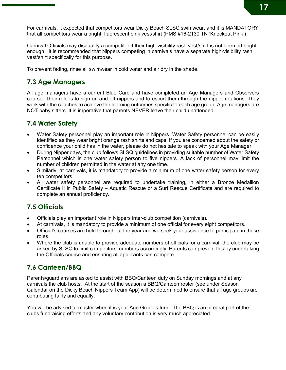For carnivals, it expected that competitors wear Dicky Beach SLSC swimwear, and it is MANDATORY that all competitors wear a bright, fluorescent pink vest/shirt (PMS #16-2130 TN 'Knockout Pink')

Carnival Officials may disqualify a competitor if their high-visibility rash vest/shirt is not deemed bright enough. It is recommended that Nippers competing in carnivals have a separate high-visibility rash vest/shirt specifically for this purpose.

To prevent fading, rinse all swimwear in cold water and air dry in the shade.

#### **7.3 Age Managers**

All age managers have a current Blue Card and have completed an Age Managers and Observers course. Their role is to sign on and off nippers and to escort them through the nipper rotations. They work with the coaches to achieve the learning outcomes specific to each age group. Age managers are NOT baby sitters. It is imperative that parents NEVER leave their child unattended.

#### **7.4 Water Safety**

- Water Safety personnel play an important role in Nippers. Water Safety personnel can be easily identified as they wear bright orange rash shirts and caps. If you are concerned about the safety or confidence your child has in the water, please do not hesitate to speak with your Age Manager.
- During Nipper days, the club follows SLSQ guidelines in providing suitable number of Water Safety Personnel which is one water safety person to five nippers. A lack of personnel may limit the number of children permitted in the water at any one time.
- Similarly, at carnivals, it is mandatory to provide a minimum of one water safety person for every ten competitors.
- All water safety personnel are required to undertake training, in either a Bronze Medallion Certificate II in Public Safety – Aquatic Rescue or a Surf Rescue Certificate and are required to complete an annual proficiency.

#### **7.5 Officials**

- Officials play an important role in Nippers inter-club competition (carnivals).
- At carnivals, it is mandatory to provide a minimum of one official for every eight competitors.
- Official's courses are held throughout the year and we seek your assistance to participate in these roles.
- Where the club is unable to provide adequate numbers of officials for a carnival, the club may be asked by SLSQ to limit competitors' numbers accordingly. Parents can prevent this by undertaking the Officials course and ensuring all applicants can compete.

#### **7.6 Canteen/BBQ**

Parents/guardians are asked to assist with BBQ/Canteen duty on Sunday mornings and at any carnivals the club hosts. At the start of the season a BBQ/Canteen roster (see under Season Calendar on the Dicky Beach Nippers Team App) will be determined to ensure that all age groups are contributing fairly and equally.

You will be advised at muster when it is your Age Group's turn. The BBQ is an integral part of the clubs fundraising efforts and any voluntary contribution is very much appreciated.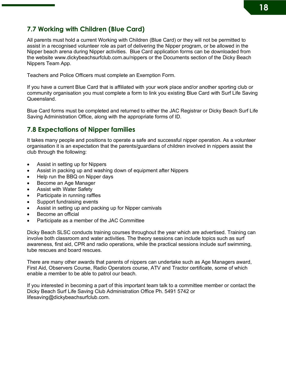#### **7.7 Working with Children (Blue Card)**

All parents must hold a current Working with Children (Blue Card) or they will not be permitted to assist in a recognised volunteer role as part of delivering the Nipper program, or be allowed in the Nipper beach arena during Nipper activities. Blue Card application forms can be downloaded from the website www.dickybeachsurfclub.com.au/nippers or the Documents section of the Dicky Beach Nippers Team App.

Teachers and Police Officers must complete an Exemption Form.

If you have a current Blue Card that is affiliated with your work place and/or another sporting club or community organisation you must complete a form to link you existing Blue Card with Surf Life Saving Queensland.

Blue Card forms must be completed and returned to either the JAC Registrar or Dicky Beach Surf Life Saving Administration Office, along with the appropriate forms of ID.

#### **7.8 Expectations of Nipper families**

It takes many people and positions to operate a safe and successful nipper operation. As a volunteer organisation it is an expectation that the parents/guardians of children involved in nippers assist the club through the following:

- Assist in setting up for Nippers
- Assist in packing up and washing down of equipment after Nippers
- Help run the BBQ on Nipper days
- Become an Age Manager
- Assist with Water Safety
- Participate in running raffles
- Support fundraising events
- Assist in setting up and packing up for Nipper carnivals
- Become an official
- Participate as a member of the JAC Committee

Dicky Beach SLSC conducts training courses throughout the year which are advertised. Training can involve both classroom and water activities. The theory sessions can include topics such as surf awareness, first aid, CPR and radio operations, while the practical sessions include surf swimming, tube rescues and board rescues.

There are many other awards that parents of nippers can undertake such as Age Managers award, First Aid, Observers Course, Radio Operators course, ATV and Tractor certificate, some of which enable a member to be able to patrol our beach.

If you interested in becoming a part of this important team talk to a committee member or contact the Dicky Beach Surf Life Saving Club Administration Office Ph. 5491 5742 or lifesaving@dickybeachsurfclub.com.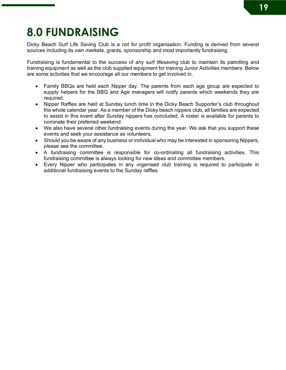## **8.0 FUNDRAISING**

Dicky Beach Surf Life Saving Club is a not for profit organisation. Funding is derived from several sources including its own markets, grants, sponsorship and most importantly fundraising.

Fundraising is fundamental to the success of any surf lifesaving club to maintain its patrolling and training equipment as well as the club supplied equipment for training Junior Activities members. Below are some activities that we encourage all our members to get involved in.

- Family BBQs are held each Nipper day. The parents from each age group are expected to supply helpers for the BBQ and Age managers will notify parents which weekends they are required.
- Nipper Raffles are held at Sunday lunch time in the Dicky Beach Supporter's club throughout the whole calendar year. As a member of the Dicky beach nippers club, all families are expected to assist in this event after Sunday nippers has concluded. A roster is available for parents to nominate their preferred weekend.
- We also have several other fundraising events during the year. We ask that you support these events and seek your assistance as volunteers.
- Should you be aware of any business or individual who may be interested in sponsoring Nippers, please see the committee.
- A fundraising committee is responsible for co-ordinating all fundraising activities. This fundraising committee is always looking for new ideas and committee members.
- Every Nipper who participates in any organised club training is required to participate in additional fundraising events to the Sunday raffles.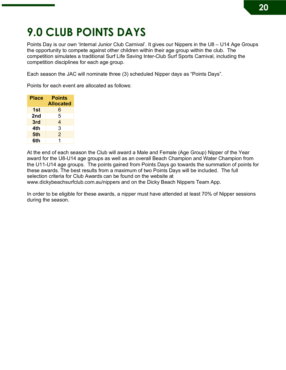### **9.0 CLUB POINTS DAYS**

Points Day is our own 'Internal Junior Club Carnival'. It gives our Nippers in the U8 – U14 Age Groups the opportunity to compete against other children within their age group within the club. The competition simulates a traditional Surf Life Saving Inter-Club Surf Sports Carnival, including the competition disciplines for each age group.

Each season the JAC will nominate three (3) scheduled Nipper days as "Points Days".

Points for each event are allocated as follows:

| Place | <b>Points</b><br><b>Allocated</b> |
|-------|-----------------------------------|
| 1st   | 6                                 |
| 2nd   | 5                                 |
| 3rd   | 4                                 |
| 4th   | 3                                 |
| 5th   | $\mathcal{P}$                     |
| 6th   | 1                                 |

At the end of each season the Club will award a Male and Female (Age Group) Nipper of the Year award for the U8-U14 age groups as well as an overall Beach Champion and Water Champion from the U11-U14 age groups. The points gained from Points Days go towards the summation of points for these awards. The best results from a maximum of two Points Days will be included. The full selection criteria for Club Awards can be found on the website at

www.dickybeachsurfclub.com.au/nippers and on the Dicky Beach Nippers Team App.

In order to be eligible for these awards, a nipper must have attended at least 70% of Nipper sessions during the season.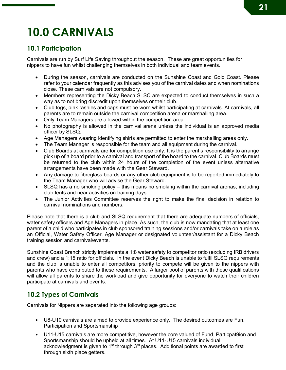## **10.0 CARNIVALS**

#### **10.1 Participation**

Carnivals are run by Surf Life Saving throughout the season. These are great opportunities for nippers to have fun whilst challenging themselves in both individual and team events.

- During the season, carnivals are conducted on the Sunshine Coast and Gold Coast. Please refer to your calendar frequently as this advises you of the carnival dates and when nominations close. These carnivals are not compulsory.
- Members representing the Dicky Beach SLSC are expected to conduct themselves in such a way as to not bring discredit upon themselves or their club.
- Club togs, pink rashies and caps must be worn whilst participating at carnivals. At carnivals, all parents are to remain outside the carnival competition arena or marshalling area.
- Only Team Managers are allowed within the competition area.
- No photography is allowed in the carnival arena unless the individual is an approved media officer by SLSQ.
- Age Managers wearing identifying shirts are permitted to enter the marshalling areas only.
- The Team Manager is responsible for the team and all equipment during the carnival.
- Club Boards at carnivals are for competition use only. It is the parent's responsibility to arrange pick up of a board prior to a carnival and transport of the board to the carnival. Club Boards must be returned to the club within 24 hours of the completion of the event unless alternative arrangements have been made with the Gear Steward.
- Any damage to fibreglass boards or any other club equipment is to be reported immediately to the Team Manager who will advise the Gear Steward.
- SLSQ has a no smoking policy this means no smoking within the carnival arenas, including club tents and near activities on training days.
- The Junior Activities Committee reserves the right to make the final decision in relation to carnival nominations and numbers.

Please note that there is a club and SLSQ requirement that there are adequate numbers of officials, water safety officers and Age Managers in place. As such, the club is now mandating that at least one parent of a child who participates in club sponsored training sessions and/or carnivals take on a role as an Official, Water Safety Officer, Age Manager or designated volunteer/assistant for a Dicky Beach training session and carnival/events.

Sunshine Coast Branch strictly implements a 1:8 water safety to competitor ratio (excluding IRB drivers and crew) and a 1:15 ratio for officials. In the event Dicky Beach is unable to fulfil SLSQ requirements and the club is unable to enter all competitors, priority to compete will be given to the nippers with parents who have contributed to these requirements. A larger pool of parents with these qualifications will allow all parents to share the workload and give opportunity for everyone to watch their children participate at carnivals and events.

#### **10.2 Types of Carnivals**

Carnivals for Nippers are separated into the following age groups:

- U8-U10 carnivals are aimed to provide experience only. The desired outcomes are Fun, Participation and Sportsmanship
- U11-U15 carnivals are more competitive, however the core valued of Fund, Particpat9ion and Sportsmanship should be upheld at all times. At U11-U15 carnivals individual acknowledgment is given to  $1<sup>st</sup>$  through  $3<sup>rd</sup>$  places. Additional points are awarded to first through sixth place getters.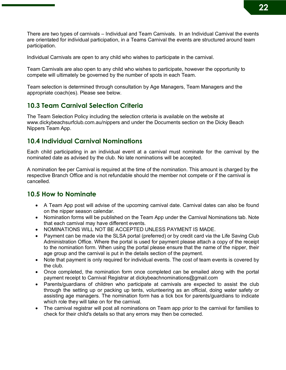There are two types of carnivals – Individual and Team Carnivals. In an Individual Carnival the events are orientated for individual participation, in a Teams Carnival the events are structured around team participation.

Individual Carnivals are open to any child who wishes to participate in the carnival.

Team Carnivals are also open to any child who wishes to participate, however the opportunity to compete will ultimately be governed by the number of spots in each Team.

Team selection is determined through consultation by Age Managers, Team Managers and the appropriate coach(es). Please see below.

#### **10.3 Team Carnival Selection Criteria**

The Team Selection Policy including the selection criteria is available on the website at www.dickybeachsurfclub.com.au/nippers and under the Documents section on the Dicky Beach Nippers Team App.

#### **10.4 Individual Carnival Nominations**

Each child participating in an individual event at a carnival must nominate for the carnival by the nominated date as advised by the club. No late nominations will be accepted.

A nomination fee per Carnival is required at the time of the nomination. This amount is charged by the respective Branch Office and is not refundable should the member not compete or if the carnival is cancelled.

#### **10.5 How to Nominate**

- A Team App post will advise of the upcoming carnival date. Carnival dates can also be found on the nipper season calendar.
- Nomination forms will be published on the Team App under the Carnival Nominations tab. Note that each carnival may have different events.
- NOMINATIONS WILL NOT BE ACCEPTED UNLESS PAYMENT IS MADE.
- Payment can be made via the SLSA portal (preferred) or by credit card via the Life Saving Club Administration Office. Where the portal is used for payment please attach a copy of the receipt to the nomination form. When using the portal please ensure that the name of the nipper, their age group and the carnival is put in the details section of the payment.
- Note that payment is only required for individual events. The cost of team events is covered by the club.
- Once completed, the nomination form once completed can be emailed along with the portal payment receipt to Carnival Registrar at dickybeachnominations@gmail.com
- Parents/guardians of children who participate at carnivals are expected to assist the club through the setting up or packing up tents, volunteering as an official, doing water safety or assisting age managers. The nomination form has a tick box for parents/guardians to indicate which role they will take on for the carnival.
- The carnival registrar will post all nominations on Team app prior to the carnival for families to check for their child's details so that any errors may then be corrected.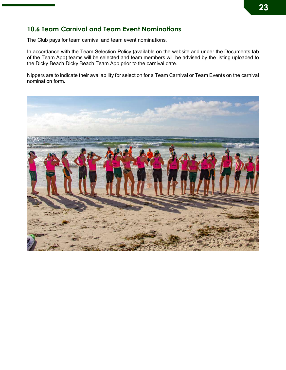#### **10.6 Team Carnival and Team Event Nominations**

The Club pays for team carnival and team event nominations.

In accordance with the Team Selection Policy (available on the website and under the Documents tab of the Team App) teams will be selected and team members will be advised by the listing uploaded to the Dicky Beach Dicky Beach Team App prior to the carnival date.

Nippers are to indicate their availability for selection for a Team Carnival or Team Events on the carnival nomination form.

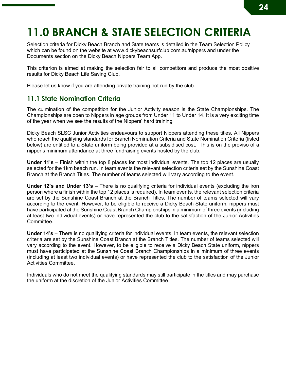### **11.0 BRANCH & STATE SELECTION CRITERIA**

Selection criteria for Dicky Beach Branch and State teams is detailed in the Team Selection Policy which can be found on the website at www.dickybeachsurfclub.com.au/nippers and under the Documents section on the Dicky Beach Nippers Team App.

This criterion is aimed at making the selection fair to all competitors and produce the most positive results for Dicky Beach Life Saving Club.

Please let us know if you are attending private training not run by the club.

#### **11.1 State Nomination Criteria**

The culmination of the competition for the Junior Activity season is the State Championships. The Championships are open to Nippers in age groups from Under 11 to Under 14. It is a very exciting time of the year when we see the results of the Nippers' hard training.

Dicky Beach SLSC Junior Activities endeavours to support Nippers attending these titles. All Nippers who reach the qualifying standards for Branch Nomination Criteria and State Nomination Criteria (listed below) are entitled to a State uniform being provided at a subsidised cost. This is on the proviso of a nipper's minimum attendance at three fundraising events hosted by the club.

**Under 11's** – Finish within the top 8 places for most individual events. The top 12 places are usually selected for the 1km beach run. In team events the relevant selection criteria set by the Sunshine Coast Branch at the Branch Titles. The number of teams selected will vary according to the event.

**Under 12's and Under 13's** – There is no qualifying criteria for individual events (excluding the iron person where a finish within the top 12 places is required). In team events, the relevant selection criteria are set by the Sunshine Coast Branch at the Branch Titles. The number of teams selected will vary according to the event. However, to be eligible to receive a Dicky Beach State uniform, nippers must have participated at the Sunshine Coast Branch Championships in a minimum of three events (including at least two individual events) or have represented the club to the satisfaction of the Junior Activities Committee.

**Under 14's** – There is no qualifying criteria for individual events. In team events, the relevant selection criteria are set by the Sunshine Coast Branch at the Branch Titles. The number of teams selected will vary according to the event. However, to be eligible to receive a Dicky Beach State uniform, nippers must have participated at the Sunshine Coast Branch Championships in a minimum of three events (including at least two individual events) or have represented the club to the satisfaction of the Junior Activities Committee.

Individuals who do not meet the qualifying standards may still participate in the titles and may purchase the uniform at the discretion of the Junior Activities Committee.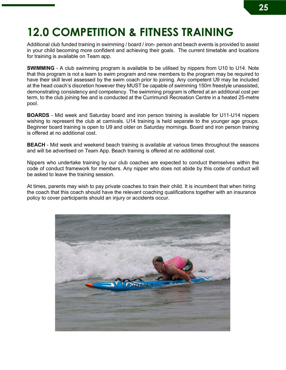### **12.0 COMPETITION & FITNESS TRAINING**

Additional club funded training in swimming / board / iron- person and beach events is provided to assist in your child becoming more confident and achieving their goals. The current timetable and locations for training is available on Team app.

**SWIMMING** - A club swimming program is available to be utilised by nippers from U10 to U14. Note that this program is not a learn to swim program and new members to the program may be required to have their skill level assessed by the swim coach prior to joining. Any competent U9 may be included at the head coach's discretion however they MUST be capable of swimming 150m freestyle unassisted, demonstrating consistency and competency. The swimming program is offered at an additional cost per term, to the club joining fee and is conducted at the Currimundi Recreation Centre in a heated 25-metre pool.

**BOARDS** - Mid week and Saturday board and iron person training is available for U11-U14 nippers wishing to represent the club at carnivals. U14 training is held separate to the younger age groups. Beginner board training is open to U9 and older on Saturday mornings. Board and iron person training is offered at no additional cost.

**BEACH** - Mid week and weekend beach training is available at various times throughout the seasons and will be advertised on Team App. Beach training is offered at no additional cost.

Nippers who undertake training by our club coaches are expected to conduct themselves within the code of conduct framework for members. Any nipper who does not abide by this code of conduct will be asked to leave the training session.

At times, parents may wish to pay private coaches to train their child. It is incumbent that when hiring the coach that this coach should have the relevant coaching qualifications together with an insurance policy to cover participants should an injury or accidents occur.

![](_page_24_Picture_7.jpeg)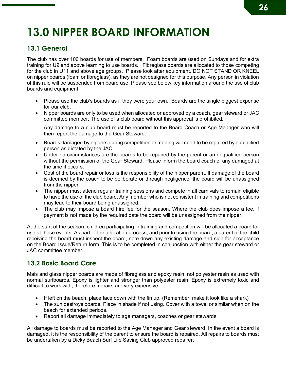## **13.0 NIPPER BOARD INFORMATION**

#### **13.1 General**

The club has over 100 boards for use of members. Foam boards are used on Sundays and for extra training for U9 and above learning to use boards. Fibreglass boards are allocated to those competing for the club in U11 and above age groups. Please look after equipment. DO NOT STAND OR KNEEL on nipper boards (foam or fibreglass), as they are not designed for this purpose. Any person in violation of this rule will be suspended from board use. Please see below key information around the use of club boards and equipment:

- Please use the club's boards as if they were your own. Boards are the single biggest expense for our club.
- Nipper boards are only to be used when allocated or approved by a coach, gear steward or JAC committee member. The use of a club board without this approval is prohibited.

Any damage to a club board must be reported to the Board Coach or Age Manager who will then report the damage to the Gear Steward.

- Boards damaged by nippers during competition or training will need to be repaired by a qualified person as dictated by the JAC.
- Under no circumstances are the boards to be repaired by the parent or an unqualified person without the permission of the Gear Steward. Please inform the board coach of any damaged at the time it occurs.
- Cost of the board repair or loss is the responsibility of the nipper parent. If damage of the board is deemed by the coach to be deliberate or through negligence, the board will be unassigned from the nipper.
- The nipper must attend regular training sessions and compete in all carnivals to remain eligible to have the use of the club board. Any member who is not consistent in training and competitions may lead to their board being unassigned.
- The club may impose a board hire fee for the season. Where the club does impose a fee, if payment is not made by the required date the board will be unassigned from the nipper.

At the start of the season, children participating in training and competition will be allocated a board for use at these events. As part of the allocation process, and prior to using the board, a parent of the child receiving the board must inspect the board, note down any existing damage and sign for acceptance on the Board Issue/Return form. This is to be completed in conjunction with either the gear steward or JAC committee member.

#### **13.2 Basic Board Care**

Mals and glass nipper boards are made of fibreglass and epoxy resin, not polyester resin as used with normal surfboards. Epoxy is lighter and stronger than polyester resin. Epoxy is extremely toxic and difficult to work with; therefore, repairs are very expensive.

- If left on the beach, place face down with the fin up. (Remember, make it look like a shark)
- The sun destroys boards. Place in shade if not using. Cover with a towel or similar when on the beach for extended periods.
- Report all damage immediately to age managers, coaches or gear stewards.

All damage to boards must be reported to the Age Manager and Gear steward. In the event a board is damaged, it is the responsibility of the parent to ensure the board is repaired. All repairs to boards must be undertaken by a Dicky Beach Surf Life Saving Club approved repairer.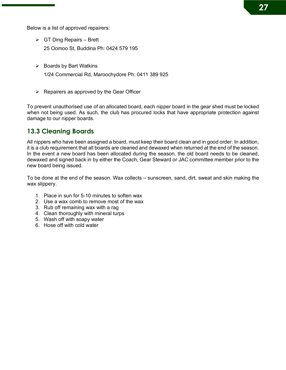Below is a list of approved repairers:

- $\triangleright$  GT Ding Repairs Brett 25 Oomoo St, Buddina Ph: 0424 579 195
- $\triangleright$  Boards by Bart Watkins

1/24 Commercial Rd, Maroochydore Ph: 0411 389 925

 $\triangleright$  Repairers as approved by the Gear Officer

To prevent unauthorised use of an allocated board, each nipper board in the gear shed must be locked when not being used. As such, the club has procured locks that have appropriate protection against damage to our nipper boards.

#### **13.3 Cleaning Boards**

All nippers who have been assigned a board, must keep their board clean and in good order. In addition, it is a club requirement that all boards are cleaned and dewaxed when returned at the end of the season. In the event a new board has been allocated during the season, the old board needs to be cleaned, dewaxed and signed back in by either the Coach, Gear Steward or JAC committee member prior to the new board being issued.

To be done at the end of the season. Wax collects – sunscreen, sand, dirt, sweat and skin making the wax slippery.

- 1. Place in sun for 5-10 minutes to soften wax
- 2. Use a wax comb to remove most of the wax
- 3. Rub off remaining wax with a rag
- 4. Clean thoroughly with mineral turps
- 5. Wash off with soapy water
- 6. Hose off with cold water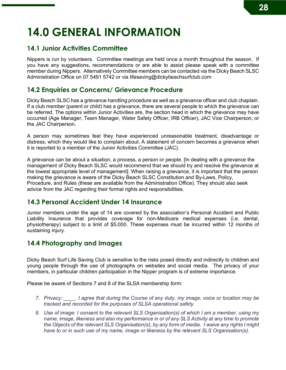## **14.0 GENERAL INFORMATION**

### **14.1 Junior Activities Committee**

Nippers is run by volunteers. Committee meetings are held once a month throughout the season. If you have any suggestions, recommendations or are able to assist please speak with a committee member during Nippers. Alternatively Committee members can be contacted via the Dicky Beach SLSC Administration Office on 07 5491 5742 or via lifesaving@dickybeachsurfclub.com

### **14.2 Enquiries or Concerns/ Grievance Procedure**

Dicky Beach SLSC has a grievance handling procedure as well as a grievance officer and club chaplain. If a club member (parent or child) has a grievance, there are several people to which the grievance can be referred. The options within Junior Activities are, the section head in which the grievance may have occurred (Age Manager, Team Manager, Water Safety Officer, IRB Officer), JAC Vice Chairperson, or the JAC Chairperson.

A person may sometimes feel they have experienced unreasonable treatment, disadvantage or distress, which they would like to complain about. A statement of concern becomes a grievance when it is reported to a member of the Junior Activities Committee (JAC).

A grievance can be about a situation, a process, a person or people. [In dealing with a grievance the management of Dicky Beach SLSC would recommend that we should try and resolve the grievance at the lowest appropriate level of management]. When raising a grievance, it is important that the person making the grievance is aware of the Dicky Beach SLSC Constitution and By-Laws, Policy, Procedure, and Rules (these are available from the Administration Office). They should also seek advice from the JAC regarding their formal rights and responsibilities.

### **14.3 Personal Accident Under 14 Insurance**

Junior members under the age of 14 are covered by the association's Personal Accident and Public Liability Insurance that provides coverage for non-Medicare medical expenses (i.e. dental, physiotherapy) subject to a limit of \$5,000. These expenses must be incurred within 12 months of sustaining injury.

### **14.4 Photography and Images**

Dicky Beach Surf Life Saving Club is sensitive to the risks posed directly and indirectly to children and young people through the use of photographs on websites and social media. The privacy of your members, in particular children participation in the Nipper program is of extreme importance.

Please be aware of Sections 7 and 8 of the SLSA membership form:

- *7. Privacy: \_\_\_\_. I agree that during the Course of any duty, my image, voice or location may be tracked and recorded for the purposes of SLSA operational safety.*
- *8. Use of image: I consent to the relevant SLS Organisation(s) of which I am a member, using my name, image, likeness and also my performance in or of any SLS Activity at any time to promote the Objects of the relevant SLS Organisation(s), by any form of media. I waive any rights I might have to or in such use of my name, image or likeness by the relevant SLS Organisation(s).*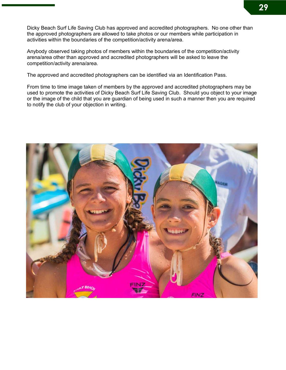Dicky Beach Surf Life Saving Club has approved and accredited photographers. No one other than the approved photographers are allowed to take photos or our members while participation in activities within the boundaries of the competition/activity arena/area.

Anybody observed taking photos of members within the boundaries of the competition/activity arena/area other than approved and accredited photographers will be asked to leave the competition/activity arena/area.

The approved and accredited photographers can be identified via an Identification Pass.

From time to time image taken of members by the approved and accredited photographers may be used to promote the activities of Dicky Beach Surf Life Saving Club. Should you object to your image or the image of the child that you are guardian of being used in such a manner then you are required to notify the club of your objection in writing.

![](_page_28_Picture_4.jpeg)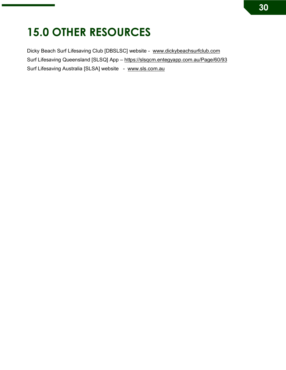### **15.0 OTHER RESOURCES**

Dicky Beach Surf Lifesaving Club [DBSLSC] website - www.dickybeachsurfclub.com Surf Lifesaving Queensland [SLSQ] App – https://slsqcm.entegyapp.com.au/Page/60/93 Surf Lifesaving Australia [SLSA] website - www.sls.com.au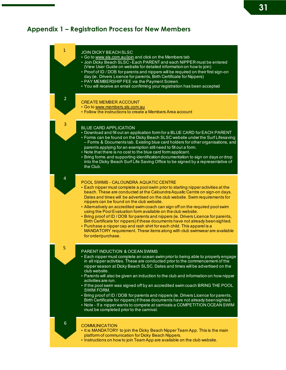# **31**

### **Appendix 1 – Registration Process for New Members**

| $\mathbf{1}$   | <b>JOIN DICKY BEACH SLSC</b><br>· Go to www.sls.com.au/join and click on the Members tab<br>. Join Dicky Beach SLSC - Each PARENT and each NIPPER must be entered<br>(View User Guide on website for detailed information on how to join)<br>• Proof of ID / DOB for parents and nippers will be required on their first sign-on<br>day (ie. Drivers Licence for parents, Birth Certificate for Nippers)<br>• PAY MEMBERSHIP FEE via the Payment Screen.<br>• You will receive an email confirming your registration has been accepted                                                                                                                                                                                                                                                                                                                         |
|----------------|----------------------------------------------------------------------------------------------------------------------------------------------------------------------------------------------------------------------------------------------------------------------------------------------------------------------------------------------------------------------------------------------------------------------------------------------------------------------------------------------------------------------------------------------------------------------------------------------------------------------------------------------------------------------------------------------------------------------------------------------------------------------------------------------------------------------------------------------------------------|
| $\overline{2}$ | <b>CREATE MEMBER ACCOUNT</b><br>• Go to www.members.sls.com.au<br>• Follow the instructions to create a Members Area account                                                                                                                                                                                                                                                                                                                                                                                                                                                                                                                                                                                                                                                                                                                                   |
| 3              | <b>BLUE CARD APPLICATION</b><br>• Download and fill out an application form for a BLUE CARD for EACH PARENT<br>• Forms can be found on the Dicky Beach SLSC website under the Surf Lifesaving<br>- Forms & Documents tab. Existing blue card holders for other organisations, and<br>parents applying for an exemption still need to fill out a form.<br>• Note that there is no cost to the blue card form applicant.<br>• Bring forms and supporting identification documentation to sign on days or drop<br>into the Dicky Beach Surf Life Saving Office to be signed by a representative of<br>the Club.                                                                                                                                                                                                                                                   |
| $\overline{4}$ | <b>POOL SWIMS - CALOUNDRA AQUATIC CENTRE</b><br>• Each nipper must complete a pool swim prior to starting nipper activities at the<br>beach. These are conducted at the Caloundra Aquatic Centre on sign-on days.<br>Dates and times will be advertised on the club website. Swim requirements for<br>nippers can be found on the club website.<br>• Alternatively an accredited swim coach can sign off on the required pool swim<br>using the Pool Evaluation form available on the club website.<br>• Bring proof of ID / DOB for parents and nippers (ie. Drivers Licence for parents,<br>Birth Certificate for nippers) if these documents have not already been sighted.<br>• Purchase a nipper cap and rash shirt for each child. This apparel is a<br>MANDATORY requirement. These items along with club swimwear are available<br>for order/purchase. |
| 5              | PARENT INDUCTION & OCEAN SWIMS<br>• Each nipper must complete an ocean swim prior to being able to properly engage<br>in all nipper activities. These are conducted prior to the commencement of the<br>nipper season at Dicky Beach SLSC. Dates and times will be advertised on the<br>club website.<br>• Parents will also be given an induction to the club and information on how nipper<br>activities are run.<br>. If the pool swim was signed off by an accredited swim coach BRING THE POOL<br>SWIM FORM.<br>• Bring proof of ID / DOB for parents and nippers (ie. Drivers Licence for parents,<br>Birth Certificate for nippers) if these documents have not already been sighted.<br>• Note - If a nipper wants to compete at carnivals a COMPETITION OCEAN SWIM<br>must be completed prior to the carnival.                                        |
| 6              | <b>COMMUNICATION</b><br>. It is MANDATORY to join the Dicky Beach Nipper Team App. This is the main<br>platform of communication for Dicky Beach Nippers.                                                                                                                                                                                                                                                                                                                                                                                                                                                                                                                                                                                                                                                                                                      |
|                | . Instructions on how to join Team App are available on the club website.                                                                                                                                                                                                                                                                                                                                                                                                                                                                                                                                                                                                                                                                                                                                                                                      |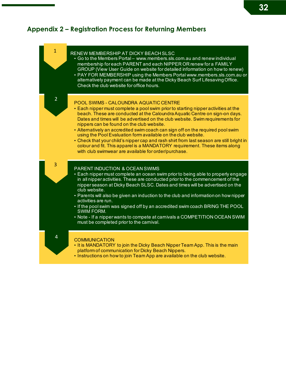### **Appendix 2 – Registration Process for Returning Members**

| $\mathbf{1}$   | RENEW MEMBERSHIP AT DICKY BEACH SLSC<br>• Go to the Members Portal – www.members.sls.com.au and renew individual<br>membership for each PARENT and each NIPPER OR renew for a FAMILY<br>GROUP (View User Guide on website for detailed information on how to renew)<br>• PAY FOR MEMBERSHIP using the Members Portal www.members.sls.com.au or<br>alternatively payment can be made at the Dicky Beach Surf Lifesaving Office.<br>Check the club website for office hours.                                                                                                                                                                                                                                                     |
|----------------|--------------------------------------------------------------------------------------------------------------------------------------------------------------------------------------------------------------------------------------------------------------------------------------------------------------------------------------------------------------------------------------------------------------------------------------------------------------------------------------------------------------------------------------------------------------------------------------------------------------------------------------------------------------------------------------------------------------------------------|
| $\overline{2}$ | POOL SWIMS - CALOUNDRA AQUATIC CENTRE<br>• Each nipper must complete a pool swim prior to starting nipper activities at the<br>beach. These are conducted at the Caloundra Aquatic Centre on sign-on days.<br>Dates and times will be advertised on the club website. Swim requirements for<br>nippers can be found on the club website.<br>• Alternatively an accredited swim coach can sign off on the required pool swim<br>using the Pool Evaluation form available on the club website.<br>• Check that your child's nipper cap and rash shirt from last season are still bright in<br>colour and fit. This apparel is a MANDATORY requirement. These items along<br>with club swimwear are available for order/purchase. |
| 3              | <b>PARENT INDUCTION &amp; OCEAN SWIMS</b><br>• Each nipper must complete an ocean swim prior to being able to properly engage<br>in all nipper activities. These are conducted prior to the commencement of the<br>nipper season at Dicky Beach SLSC. Dates and times will be advertised on the<br>club website.<br>• Parents will also be given an induction to the club and information on how nipper<br>activities are run.<br>. If the pool swim was signed off by an accredited swim coach BRING THE POOL<br><b>SWIM FORM.</b><br>• Note - If a nipper wants to compete at carnivals a COMPETITION OCEAN SWIM<br>must be completed prior to the carnival.                                                                 |
| $\overline{4}$ | <b>COMMUNICATION</b><br>. It is MANDATORY to join the Dicky Beach Nipper Team App. This is the main<br>platform of communication for Dicky Beach Nippers.<br>. Instructions on how to join Team App are available on the club website.                                                                                                                                                                                                                                                                                                                                                                                                                                                                                         |